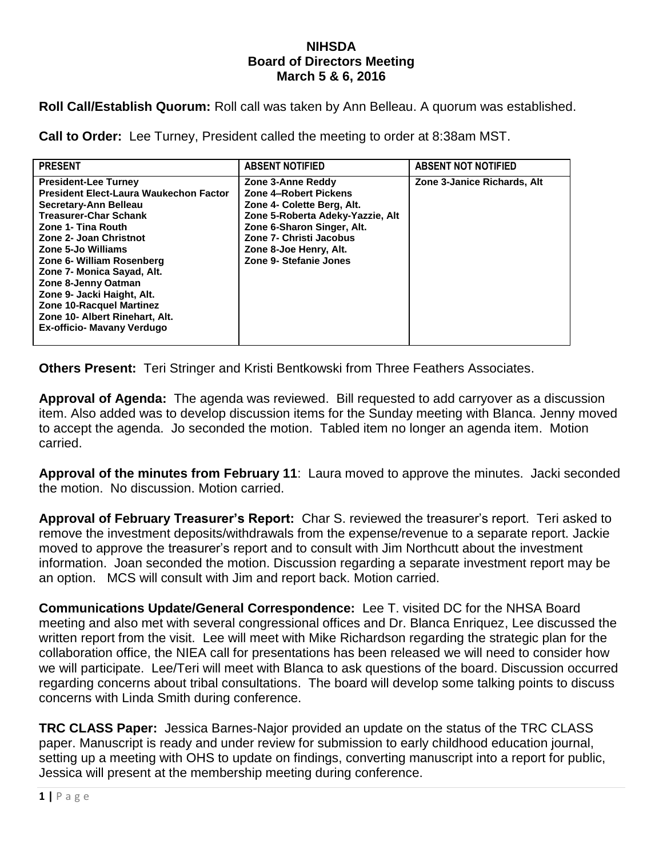## **NIHSDA Board of Directors Meeting March 5 & 6, 2016**

**Roll Call/Establish Quorum:** Roll call was taken by Ann Belleau. A quorum was established.

**Call to Order:** Lee Turney, President called the meeting to order at 8:38am MST.

| <b>PRESENT</b>                                                                                                                                                                                                                                                                                                                                                                                                                 | <b>ABSENT NOTIFIED</b>                                                                                                                                                                                                    | <b>ABSENT NOT NOTIFIED</b>  |
|--------------------------------------------------------------------------------------------------------------------------------------------------------------------------------------------------------------------------------------------------------------------------------------------------------------------------------------------------------------------------------------------------------------------------------|---------------------------------------------------------------------------------------------------------------------------------------------------------------------------------------------------------------------------|-----------------------------|
| <b>President-Lee Turney</b><br><b>President Elect-Laura Waukechon Factor</b><br>Secretary-Ann Belleau<br><b>Treasurer-Char Schank</b><br>Zone 1- Tina Routh<br>Zone 2- Joan Christnot<br>Zone 5-Jo Williams<br>Zone 6- William Rosenberg<br>Zone 7- Monica Sayad, Alt.<br>Zone 8-Jenny Oatman<br>Zone 9- Jacki Haight, Alt.<br><b>Zone 10-Racquel Martinez</b><br>Zone 10- Albert Rinehart, Alt.<br>Ex-officio- Mavany Verdugo | Zone 3-Anne Reddy<br>Zone 4-Robert Pickens<br>Zone 4- Colette Berg, Alt.<br>Zone 5-Roberta Adeky-Yazzie, Alt<br>Zone 6-Sharon Singer, Alt.<br>Zone 7- Christi Jacobus<br>Zone 8-Joe Henry, Alt.<br>Zone 9- Stefanie Jones | Zone 3-Janice Richards, Alt |
|                                                                                                                                                                                                                                                                                                                                                                                                                                |                                                                                                                                                                                                                           |                             |

**Others Present:** Teri Stringer and Kristi Bentkowski from Three Feathers Associates.

**Approval of Agenda:** The agenda was reviewed. Bill requested to add carryover as a discussion item. Also added was to develop discussion items for the Sunday meeting with Blanca. Jenny moved to accept the agenda. Jo seconded the motion. Tabled item no longer an agenda item. Motion carried.

**Approval of the minutes from February 11**: Laura moved to approve the minutes. Jacki seconded the motion. No discussion. Motion carried.

**Approval of February Treasurer's Report:** Char S. reviewed the treasurer's report. Teri asked to remove the investment deposits/withdrawals from the expense/revenue to a separate report. Jackie moved to approve the treasurer's report and to consult with Jim Northcutt about the investment information. Joan seconded the motion. Discussion regarding a separate investment report may be an option. MCS will consult with Jim and report back. Motion carried.

**Communications Update/General Correspondence:** Lee T. visited DC for the NHSA Board meeting and also met with several congressional offices and Dr. Blanca Enriquez, Lee discussed the written report from the visit. Lee will meet with Mike Richardson regarding the strategic plan for the collaboration office, the NIEA call for presentations has been released we will need to consider how we will participate. Lee/Teri will meet with Blanca to ask questions of the board. Discussion occurred regarding concerns about tribal consultations. The board will develop some talking points to discuss concerns with Linda Smith during conference.

**TRC CLASS Paper:** Jessica Barnes-Najor provided an update on the status of the TRC CLASS paper. Manuscript is ready and under review for submission to early childhood education journal, setting up a meeting with OHS to update on findings, converting manuscript into a report for public, Jessica will present at the membership meeting during conference.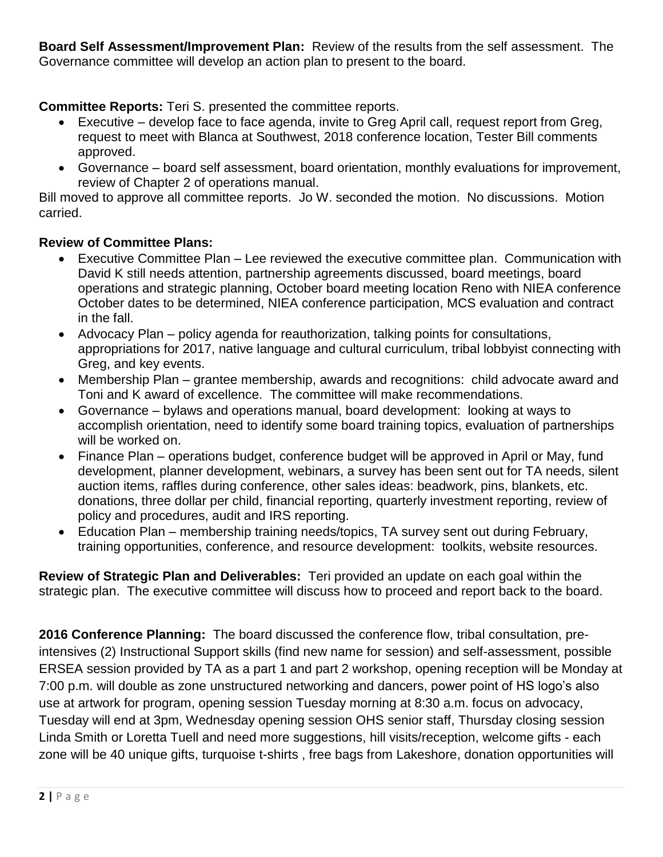**Board Self Assessment/Improvement Plan:** Review of the results from the self assessment. The Governance committee will develop an action plan to present to the board.

**Committee Reports:** Teri S. presented the committee reports.

- Executive develop face to face agenda, invite to Greg April call, request report from Greg. request to meet with Blanca at Southwest, 2018 conference location, Tester Bill comments approved.
- Governance board self assessment, board orientation, monthly evaluations for improvement, review of Chapter 2 of operations manual.

Bill moved to approve all committee reports. Jo W. seconded the motion. No discussions. Motion carried.

## **Review of Committee Plans:**

- Executive Committee Plan Lee reviewed the executive committee plan. Communication with David K still needs attention, partnership agreements discussed, board meetings, board operations and strategic planning, October board meeting location Reno with NIEA conference October dates to be determined, NIEA conference participation, MCS evaluation and contract in the fall.
- Advocacy Plan policy agenda for reauthorization, talking points for consultations, appropriations for 2017, native language and cultural curriculum, tribal lobbyist connecting with Greg, and key events.
- Membership Plan grantee membership, awards and recognitions: child advocate award and Toni and K award of excellence. The committee will make recommendations.
- Governance bylaws and operations manual, board development: looking at ways to accomplish orientation, need to identify some board training topics, evaluation of partnerships will be worked on.
- Finance Plan operations budget, conference budget will be approved in April or May, fund development, planner development, webinars, a survey has been sent out for TA needs, silent auction items, raffles during conference, other sales ideas: beadwork, pins, blankets, etc. donations, three dollar per child, financial reporting, quarterly investment reporting, review of policy and procedures, audit and IRS reporting.
- Education Plan membership training needs/topics, TA survey sent out during February, training opportunities, conference, and resource development: toolkits, website resources.

**Review of Strategic Plan and Deliverables:** Teri provided an update on each goal within the strategic plan. The executive committee will discuss how to proceed and report back to the board.

**2016 Conference Planning:** The board discussed the conference flow, tribal consultation, preintensives (2) Instructional Support skills (find new name for session) and self-assessment, possible ERSEA session provided by TA as a part 1 and part 2 workshop, opening reception will be Monday at 7:00 p.m. will double as zone unstructured networking and dancers, power point of HS logo's also use at artwork for program, opening session Tuesday morning at 8:30 a.m. focus on advocacy, Tuesday will end at 3pm, Wednesday opening session OHS senior staff, Thursday closing session Linda Smith or Loretta Tuell and need more suggestions, hill visits/reception, welcome gifts - each zone will be 40 unique gifts, turquoise t-shirts , free bags from Lakeshore, donation opportunities will